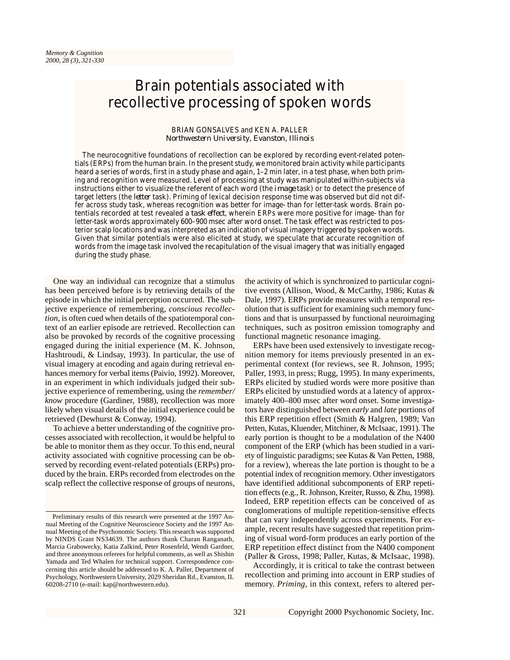# Brain potentials associated with recollective processing of spoken words

# BRIAN GONSALVES and KEN A. PALLER *Northwestern University, Evanston, Illinois*

The neurocognitive foundations of recollection can be explored by recording event-related potentials (ERPs) from the human brain. In the present study, we monitored brain activity while participants heard a series of words, first in a study phase and again, 1–2 min later, in a test phase, when both priming and recognition were measured. Level of processing at study was manipulated within-subjects via instructions either to visualize the referent of each word (the *image* task) or to detect the presence of target letters (the *letter* task). Priming of lexical decision response time was observed but did not differ across study task, whereas recognition was better for image- than for letter-task words. Brain potentials recorded at test revealed a *task effect*, wherein ERPs were more positive for image- than for letter-task words approximately 600–900 msec after word onset. The task effect was restricted to posterior scalp locations and was interpreted as an indication of visual imagery triggered by spoken words. Given that similar potentials were also elicited at study, we speculate that accurate recognition of words from the image task involved the recapitulation of the visual imagery that was initially engaged during the study phase.

One way an individual can recognize that a stimulus has been perceived before is by retrieving details of the episode in which the initial perception occurred. The subjective experience of remembering, *conscious recollection*, is often cued when details of the spatiotemporal context of an earlier episode are retrieved. Recollection can also be provoked by records of the cognitive processing engaged during the initial experience (M. K. Johnson, Hashtroudi, & Lindsay, 1993). In particular, the use of visual imagery at encoding and again during retrieval enhances memory for verbal items (Paivio, 1992). Moreover, in an experiment in which individuals judged their subjective experience of remembering, using the *remember/ know* procedure (Gardiner, 1988), recollection was more likely when visual details of the initial experience could be retrieved (Dewhurst & Conway, 1994).

To achieve a better understanding of the cognitive processes associated with recollection, it would be helpful to be able to monitor them as they occur. To this end, neural activity associated with cognitive processing can be observed by recording event-related potentials (ERPs) produced by the brain. ERPs recorded from electrodes on the scalp reflect the collective response of groups of neurons,

the activity of which is synchronized to particular cognitive events (Allison, Wood, & McCarthy, 1986; Kutas & Dale, 1997). ERPs provide measures with a temporal resolution that is sufficient for examining such memory functions and that is unsurpassed by functional neuroimaging techniques, such as positron emission tomography and functional magnetic resonance imaging.

ERPs have been used extensively to investigate recognition memory for items previously presented in an experimental context (for reviews, see R. Johnson, 1995; Paller, 1993, in press; Rugg, 1995). In many experiments, ERPs elicited by studied words were more positive than ERPs elicited by unstudied words at a latency of approximately 400–800 msec after word onset. Some investigators have distinguished between *early* and *late* portions of this ERP repetition effect (Smith & Halgren, 1989; Van Petten, Kutas, Kluender, Mitchiner, & McIsaac, 1991). The early portion is thought to be a modulation of the N400 component of the ERP (which has been studied in a variety of linguistic paradigms; see Kutas & Van Petten, 1988, for a review), whereas the late portion is thought to be a potential index of recognition memory. Other investigators have identified additional subcomponents of ERP repetition effects (e.g., R. Johnson, Kreiter, Russo, & Zhu, 1998). Indeed, ERP repetition effects can be conceived of as conglomerations of multiple repetition-sensitive effects that can vary independently across experiments. For example, recent results have suggested that repetition priming of visual word-form produces an early portion of the ERP repetition effect distinct from the N400 component (Paller & Gross, 1998; Paller, Kutas, & McIsaac, 1998).

Accordingly, it is critical to take the contrast between recollection and priming into account in ERP studies of memory. *Priming*, in this context, refers to altered per-

Preliminary results of this research were presented at the 1997 Annual Meeting of the Cognitive Neuroscience Society and the 1997 Annual Meeting of the Psychonomic Society. This research was supported by NINDS Grant NS34639. The authors thank Charan Ranganath, Marcia Grabowecky, Katia Zalkind, Peter Rosenfeld, Wendi Gardner, and three anonymous referees for helpful comments, as well as Shishin Yamada and Ted Whalen for technical support. Correspondence concerning this article should be addressed to K. A. Paller, Department of Psychology, Northwestern University, 2029 Sheridan Rd., Evanston, IL 60208-2710 (e-mail: kap@northwestern.edu).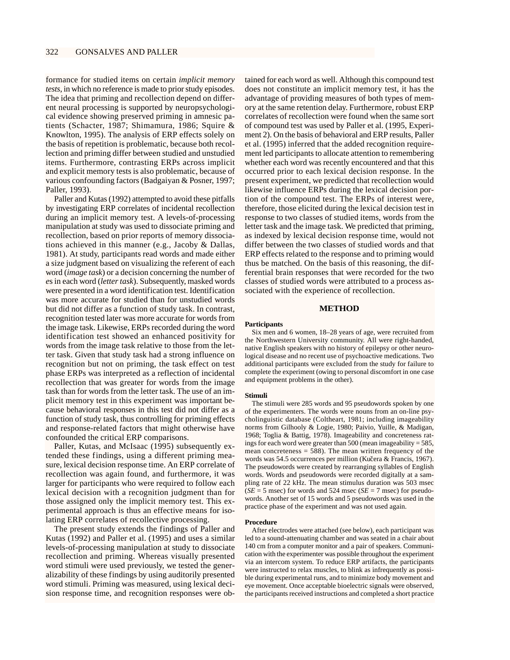formance for studied items on certain *implicit memory tests*, in which no reference is made to prior study episodes. The idea that priming and recollection depend on different neural processing is supported by neuropsychological evidence showing preserved priming in amnesic patients (Schacter, 1987; Shimamura, 1986; Squire & Knowlton, 1995). The analysis of ERP effects solely on the basis of repetition is problematic, because both recollection and priming differ between studied and unstudied items. Furthermore, contrasting ERPs across implicit and explicit memory tests is also problematic, because of various confounding factors (Badgaiyan & Posner, 1997; Paller, 1993).

Paller and Kutas (1992) attempted to avoid these pitfalls by investigating ERP correlates of incidental recollection during an implicit memory test. A levels-of-processing manipulation at study was used to dissociate priming and recollection, based on prior reports of memory dissociations achieved in this manner (e.g., Jacoby & Dallas, 1981). At study, participants read words and made either a size judgment based on visualizing the referent of each word (*image task*) or a decision concerning the number of *e*s in each word (*letter task*). Subsequently, masked words were presented in a word identification test. Identification was more accurate for studied than for unstudied words but did not differ as a function of study task. In contrast, recognition tested later was more accurate for words from the image task. Likewise, ERPs recorded during the word identification test showed an enhanced positivity for words from the image task relative to those from the letter task. Given that study task had a strong influence on recognition but not on priming, the task effect on test phase ERPs was interpreted as a reflection of incidental recollection that was greater for words from the image task than for words from the letter task. The use of an implicit memory test in this experiment was important because behavioral responses in this test did not differ as a function of study task, thus controlling for priming effects and response-related factors that might otherwise have confounded the critical ERP comparisons.

Paller, Kutas, and McIsaac (1995) subsequently extended these findings, using a different priming measure, lexical decision response time. An ERP correlate of recollection was again found, and furthermore, it was larger for participants who were required to follow each lexical decision with a recognition judgment than for those assigned only the implicit memory test. This experimental approach is thus an effective means for isolating ERP correlates of recollective processing.

The present study extends the findings of Paller and Kutas (1992) and Paller et al. (1995) and uses a similar levels-of-processing manipulation at study to dissociate recollection and priming. Whereas visually presented word stimuli were used previously, we tested the generalizability of these findings by using auditorily presented word stimuli. Priming was measured, using lexical decision response time, and recognition responses were ob-

tained for each word as well. Although this compound test does not constitute an implicit memory test, it has the advantage of providing measures of both types of memory at the same retention delay. Furthermore, robust ERP correlates of recollection were found when the same sort of compound test was used by Paller et al. (1995, Experiment 2). On the basis of behavioral and ERP results, Paller et al. (1995) inferred that the added recognition requirement led participants to allocate attention to remembering whether each word was recently encountered and that this occurred prior to each lexical decision response. In the present experiment, we predicted that recollection would likewise influence ERPs during the lexical decision portion of the compound test. The ERPs of interest were, therefore, those elicited during the lexical decision test in response to two classes of studied items, words from the letter task and the image task. We predicted that priming, as indexed by lexical decision response time, would not differ between the two classes of studied words and that ERP effects related to the response and to priming would thus be matched. On the basis of this reasoning, the differential brain responses that were recorded for the two classes of studied words were attributed to a process associated with the experience of recollection.

## **METHOD**

# **Participants**

Six men and 6 women, 18–28 years of age, were recruited from the Northwestern University community. All were right-handed, native English speakers with no history of epilepsy or other neurological disease and no recent use of psychoactive medications. Two additional participants were excluded from the study for failure to complete the experiment (owing to personal discomfort in one case and equipment problems in the other).

#### **Stimuli**

The stimuli were 285 words and 95 pseudowords spoken by one of the experimenters. The words were nouns from an on-line psycholinguistic database (Coltheart, 1981; including imageability norms from Gilhooly & Logie, 1980; Paivio, Yuille, & Madigan, 1968; Toglia & Battig, 1978). Imageability and concreteness ratings for each word were greater than 500 (mean imageability = 585, mean concreteness  $= 588$ ). The mean written frequency of the words was 54.5 occurrences per million (Kučera & Francis, 1967). The pseudowords were created by rearranging syllables of English words. Words and pseudowords were recorded digitally at a sampling rate of 22 kHz. The mean stimulus duration was 503 msec  $(SE = 5$  msec) for words and 524 msec ( $SE = 7$  msec) for pseudowords. Another set of 15 words and 5 pseudowords was used in the practice phase of the experiment and was not used again.

### **Procedure**

After electrodes were attached (see below), each participant was led to a sound-attenuating chamber and was seated in a chair about 140 cm from a computer monitor and a pair of speakers. Communication with the experimenter was possible throughout the experiment via an intercom system. To reduce ERP artifacts, the participants were instructed to relax muscles, to blink as infrequently as possible during experimental runs, and to minimize body movement and eye movement. Once acceptable bioelectric signals were observed, the participants received instructions and completed a short practice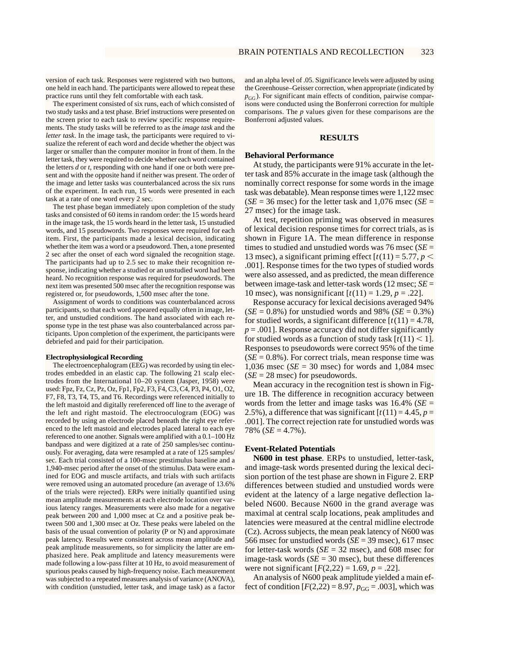version of each task. Responses were registered with two buttons, one held in each hand. The participants were allowed to repeat these practice runs until they felt comfortable with each task.

The experiment consisted of six runs, each of which consisted of two study tasks and a test phase. Brief instructions were presented on the screen prior to each task to review specific response requirements. The study tasks will be referred to as the *image task* and the *letter task*. In the image task, the participants were required to visualize the referent of each word and decide whether the object was larger or smaller than the computer monitor in front of them. In the letter task, they were required to decide whether each word contained the letters *d* or *t*, responding with one hand if one or both were present and with the opposite hand if neither was present. The order of the image and letter tasks was counterbalanced across the six runs of the experiment. In each run, 15 words were presented in each task at a rate of one word every 2 sec.

The test phase began immediately upon completion of the study tasks and consisted of 60 items in random order: the 15 words heard in the image task, the 15 words heard in the letter task, 15 unstudied words, and 15 pseudowords. Two responses were required for each item. First, the participants made a lexical decision, indicating whether the item was a word or a pseudoword. Then, a tone presented 2 sec after the onset of each word signaled the recognition stage. The participants had up to 2.5 sec to make their recognition response, indicating whether a studied or an unstudied word had been heard. No recognition response was required for pseudowords. The next item was presented 500 msec after the recognition response was registered or, for pseudowords, 1,500 msec after the tone.

Assignment of words to conditions was counterbalanced across participants, so that each word appeared equally often in image, letter, and unstudied conditions. The hand associated with each response type in the test phase was also counterbalanced across participants. Upon completion of the experiment, the participants were debriefed and paid for their participation.

# **Electrophysiological Recording**

The electroencephalogram (EEG) was recorded by using tin electrodes embedded in an elastic cap. The following 21 scalp electrodes from the International 10–20 system (Jasper, 1958) were used: Fpz, Fz, Cz, Pz, Oz, Fp1, Fp2, F3, F4, C3, C4, P3, P4, O1, O2, F7, F8, T3, T4, T5, and T6. Recordings were referenced initially to the left mastoid and digitally rereferenced off line to the average of the left and right mastoid. The electrooculogram (EOG) was recorded by using an electrode placed beneath the right eye referenced to the left mastoid and electrodes placed lateral to each eye referenced to one another. Signals were amplified with a 0.1–100 Hz bandpass and were digitized at a rate of 250 samples/sec continuously. For averaging, data were resampled at a rate of 125 samples/ sec. Each trial consisted of a 100-msec prestimulus baseline and a 1,940-msec period after the onset of the stimulus. Data were examined for EOG and muscle artifacts, and trials with such artifacts were removed using an automated procedure (an average of 13.6% of the trials were rejected). ERPs were initially quantified using mean amplitude measurements at each electrode location over various latency ranges. Measurements were also made for a negative peak between 200 and 1,000 msec at Cz and a positive peak between 500 and 1,300 msec at Oz. These peaks were labeled on the basis of the usual convention of polarity (P or N) and approximate peak latency. Results were consistent across mean amplitude and peak amplitude measurements, so for simplicity the latter are emphasized here. Peak amplitude and latency measurements were made following a low-pass filter at 10 Hz, to avoid measurement of spurious peaks caused by high-frequency noise. Each measurement was subjected to a repeated measures analysis of variance (ANOVA), with condition (unstudied, letter task, and image task) as a factor

and an alpha level of .05. Significance levels were adjusted by using the Greenhouse–Geisser correction, when appropriate (indicated by  $p_{GG}$ ). For significant main effects of condition, pairwise comparisons were conducted using the Bonferroni correction for multiple comparisons. The *p* values given for these comparisons are the Bonferroni adjusted values.

# **RESULTS**

### **Behavioral Performance**

At study, the participants were 91% accurate in the letter task and 85% accurate in the image task (although the nominally correct response for some words in the image task was debatable). Mean response times were 1,122 msec  $(SE = 36$  msec) for the letter task and  $1,076$  msec  $(SE = 1)$ 27 msec) for the image task.

At test, repetition priming was observed in measures of lexical decision response times for correct trials, as is shown in Figure 1A. The mean difference in response times to studied and unstudied words was 76 msec (*SE* = 13 msec), a significant priming effect  $[t(11) = 5.77, p <$ .001]. Response times for the two types of studied words were also assessed, and as predicted, the mean difference between image-task and letter-task words (12 msec; *SE* = 10 msec), was nonsignificant  $[t(11) = 1.29, p = .22]$ .

Response accuracy for lexical decisions averaged 94%  $(SE = 0.8\%)$  for unstudied words and 98%  $(SE = 0.3\%)$ for studied words, a significant difference  $[t(11) = 4.78]$ ,  $p = .001$ . Response accuracy did not differ significantly for studied words as a function of study task  $[t(11) \le 1]$ . Responses to pseudowords were correct 95% of the time  $(SE = 0.8\%)$ . For correct trials, mean response time was 1,036 msec ( $SE = 30$  msec) for words and 1,084 msec  $(SE = 28$  msec) for pseudowords.

Mean accuracy in the recognition test is shown in Figure 1B. The difference in recognition accuracy between words from the letter and image tasks was  $16.4\%$  (*SE* = 2.5%), a difference that was significant  $[t(11) = 4.45, p =$ .001]. The correct rejection rate for unstudied words was 78%  $(SE = 4.7\%)$ .

# **Event-Related Potentials**

**N600 in test phase**. ERPs to unstudied, letter-task, and image-task words presented during the lexical decision portion of the test phase are shown in Figure 2. ERP differences between studied and unstudied words were evident at the latency of a large negative deflection labeled N600. Because N600 in the grand average was maximal at central scalp locations, peak amplitudes and latencies were measured at the central midline electrode (Cz). Across subjects, the mean peak latency of N600 was 566 msec for unstudied words (*SE* = 39 msec), 617 msec for letter-task words  $(SE = 32$  msec), and 608 msec for image-task words  $(SE = 30$  msec), but these differences were not significant  $[F(2,22) = 1.69, p = .22]$ .

An analysis of N600 peak amplitude yielded a main effect of condition  $[F(2,22) = 8.97, p_{GG} = .003]$ , which was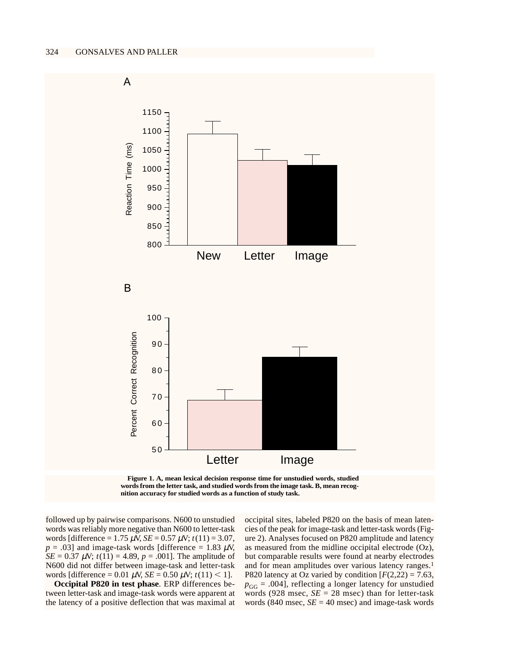

**Figure 1. A, mean lexical decision response time for unstudied words, studied words from the letter task, and studied words from the image task. B, mean recognition accuracy for studied words as a function of study task.**

followed up by pairwise comparisons. N600 to unstudied words was reliably more negative than N600 to letter-task words [difference =  $1.75 \mu$ V, *SE* =  $0.57 \mu$ V;  $t(11) = 3.07$ ,  $p = .03$ ] and image-task words [difference = 1.83  $\mu$ V, *SE* = 0.37  $\mu$ V;  $t(11) = 4.89$ ,  $p = .001$ . The amplitude of N600 did not differ between image-task and letter-task words [difference =  $0.01 \mu$ V, *SE* =  $0.50 \mu$ V; *t*(11) < 1].

**Occipital P820 in test phase**. ERP differences between letter-task and image-task words were apparent at the latency of a positive deflection that was maximal at

occipital sites, labeled P820 on the basis of mean latencies of the peak for image-task and letter-task words (Figure 2). Analyses focused on P820 amplitude and latency as measured from the midline occipital electrode (Oz), but comparable results were found at nearby electrodes and for mean amplitudes over various latency ranges.<sup>1</sup> P820 latency at Oz varied by condition  $[F(2,22) = 7.63]$ ,  $p_{GG} = .004$ , reflecting a longer latency for unstudied words (928 msec,  $SE = 28$  msec) than for letter-task words (840 msec,  $SE = 40$  msec) and image-task words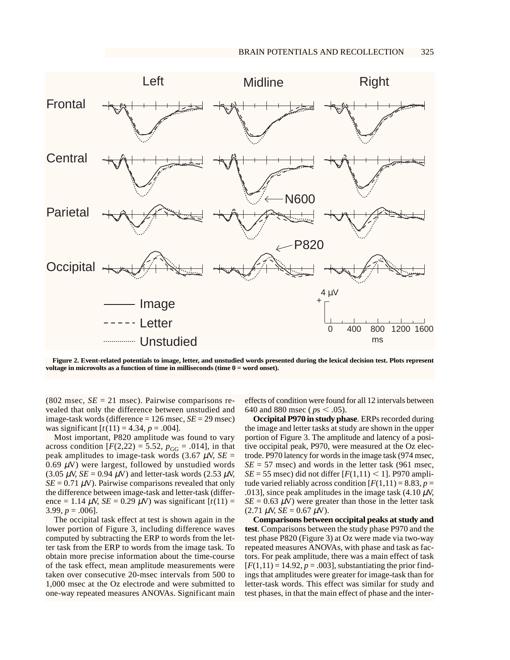

**Figure 2. Event-related potentials to image, letter, and unstudied words presented during the lexical decision test. Plots represent voltage in microvolts as a function of time in milliseconds (time 0 = word onset).**

 $(802 \text{ msec}, SE = 21 \text{ msec})$ . Pairwise comparisons revealed that only the difference between unstudied and image-task words (difference = 126 msec, *SE* = 29 msec) was significant  $[t(11) = 4.34, p = .004]$ .

Most important, P820 amplitude was found to vary across condition  $[F(2,22) = 5.52, p_{GG} = .014]$ , in that peak amplitudes to image-task words  $(3.67 \mu V, SE =$ 0.69  $\mu$ V) were largest, followed by unstudied words  $(3.05 \mu V, SE = 0.94 \mu V)$  and letter-task words  $(2.53 \mu V,$  $SE = 0.71 \mu V$ ). Pairwise comparisons revealed that only the difference between image-task and letter-task (difference = 1.14  $\mu$ V, *SE* = 0.29  $\mu$ V) was significant  $[t(11)$  = 3.99,  $p = .006$ ].

The occipital task effect at test is shown again in the lower portion of Figure 3, including difference waves computed by subtracting the ERP to words from the letter task from the ERP to words from the image task. To obtain more precise information about the time-course of the task effect, mean amplitude measurements were taken over consecutive 20-msec intervals from 500 to 1,000 msec at the Oz electrode and were submitted to one-way repeated measures ANOVAs. Significant main

effects of condition were found for all 12 intervals between 640 and 880 msec ( $ps < .05$ ).

**Occipital P970 in study phase**. ERPs recorded during the image and letter tasks at study are shown in the upper portion of Figure 3. The amplitude and latency of a positive occipital peak, P970, were measured at the Oz electrode. P970 latency for words in the image task (974 msec,  $SE = 57$  msec) and words in the letter task (961 msec,  $SE = 55$  msec) did not differ  $[F(1,11) < 1]$ . P970 amplitude varied reliably across condition  $[F(1,11) = 8.83, p =$ .013], since peak amplitudes in the image task  $(4.10 \mu V)$ ,  $SE = 0.63 \mu V$ ) were greater than those in the letter task  $(2.71 \mu\text{V}, SE = 0.67 \mu\text{V}).$ 

**Comparisons between occipital peaks at study and test**. Comparisons between the study phase P970 and the test phase P820 (Figure 3) at Oz were made via two-way repeated measures ANOVAs, with phase and task as factors. For peak amplitude, there was a main effect of task  $[F(1,11) = 14.92, p = .003]$ , substantiating the prior findings that amplitudes were greater for image-task than for letter-task words. This effect was similar for study and test phases, in that the main effect of phase and the inter-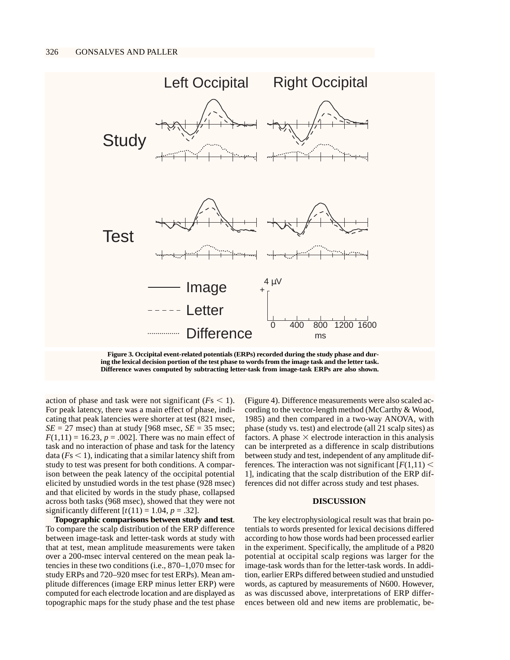

**Figure 3. Occipital event-related potentials (ERPs) recorded during the study phase and during the lexical decision portion of the test phase to words from the image task and the letter task. Difference waves computed by subtracting letter-task from image-task ERPs are also shown.**

action of phase and task were not significant  $(F<sub>S</sub> < 1)$ . For peak latency, there was a main effect of phase, indicating that peak latencies were shorter at test (821 msec,  $SE = 27$  msec) than at study [968 msec,  $SE = 35$  msec;  $F(1,11) = 16.23, p = .002$ . There was no main effect of task and no interaction of phase and task for the latency data  $(Fs \le 1)$ , indicating that a similar latency shift from study to test was present for both conditions. A comparison between the peak latency of the occipital potential elicited by unstudied words in the test phase (928 msec) and that elicited by words in the study phase, collapsed across both tasks (968 msec), showed that they were not significantly different  $[t(11) = 1.04, p = .32]$ .

**Topographic comparisons between study and test**. To compare the scalp distribution of the ERP difference between image-task and letter-task words at study with that at test, mean amplitude measurements were taken over a 200-msec interval centered on the mean peak latencies in these two conditions (i.e., 870–1,070 msec for study ERPs and 720–920 msec for test ERPs). Mean amplitude differences (image ERP minus letter ERP) were computed for each electrode location and are displayed as topographic maps for the study phase and the test phase

(Figure 4). Difference measurements were also scaled according to the vector-length method (McCarthy & Wood, 1985) and then compared in a two-way ANOVA, with phase (study vs. test) and electrode (all 21 scalp sites) as factors. A phase  $\times$  electrode interaction in this analysis can be interpreted as a difference in scalp distributions between study and test, independent of any amplitude differences. The interaction was not significant  $[F(1,11)]$  < 1], indicating that the scalp distribution of the ERP differences did not differ across study and test phases.

# **DISCUSSION**

The key electrophysiological result was that brain potentials to words presented for lexical decisions differed according to how those words had been processed earlier in the experiment. Specifically, the amplitude of a P820 potential at occipital scalp regions was larger for the image-task words than for the letter-task words. In addition, earlier ERPs differed between studied and unstudied words, as captured by measurements of N600. However, as was discussed above, interpretations of ERP differences between old and new items are problematic, be-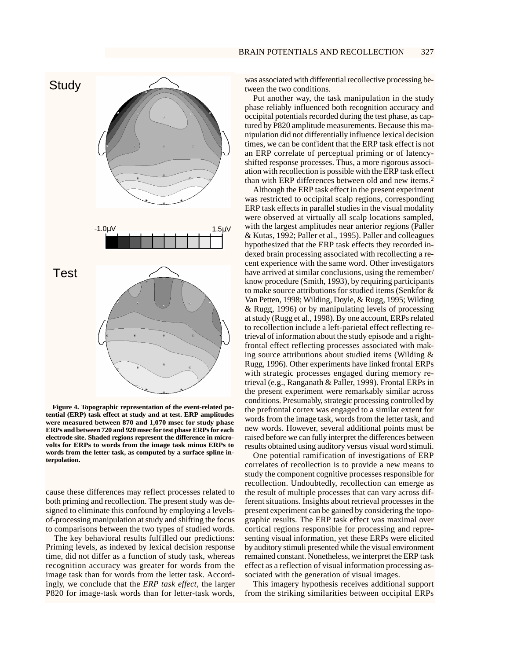

**Figure 4. Topographic representation of the event-related potential (ERP) task effect at study and at test. ERP amplitudes were measured between 870 and 1,070 msec for study phase ERPs and between 720 and 920 msec for test phase ERPs for each electrode site. Shaded regions represent the difference in microvolts for ERPs to words from the image task minus ERPs to words from the letter task, as computed by a surface spline interpolation.**

cause these differences may reflect processes related to both priming and recollection. The present study was designed to eliminate this confound by employing a levelsof-processing manipulation at study and shifting the focus to comparisons between the two types of studied words.

The key behavioral results fulfilled our predictions: Priming levels, as indexed by lexical decision response time, did not differ as a function of study task, whereas recognition accuracy was greater for words from the image task than for words from the letter task. Accordingly, we conclude that the *ERP task effect*, the larger P820 for image-task words than for letter-task words, was associated with differential recollective processing between the two conditions.

Put another way, the task manipulation in the study phase reliably influenced both recognition accuracy and occipital potentials recorded during the test phase, as captured by P820 amplitude measurements. Because this manipulation did not differentially influence lexical decision times, we can be confident that the ERP task effect is not an ERP correlate of perceptual priming or of latencyshifted response processes. Thus, a more rigorous association with recollection is possible with the ERP task effect than with ERP differences between old and new items.2

Although the ERP task effect in the present experiment was restricted to occipital scalp regions, corresponding ERP task effects in parallel studies in the visual modality were observed at virtually all scalp locations sampled, with the largest amplitudes near anterior regions (Paller & Kutas, 1992; Paller et al., 1995). Paller and colleagues hypothesized that the ERP task effects they recorded indexed brain processing associated with recollecting a recent experience with the same word. Other investigators have arrived at similar conclusions, using the remember/ know procedure (Smith, 1993), by requiring participants to make source attributions for studied items (Senkfor & Van Petten, 1998; Wilding, Doyle, & Rugg, 1995; Wilding & Rugg, 1996) or by manipulating levels of processing at study (Rugg et al., 1998). By one account, ERPs related to recollection include a left-parietal effect reflecting retrieval of information about the study episode and a rightfrontal effect reflecting processes associated with making source attributions about studied items (Wilding & Rugg, 1996). Other experiments have linked frontal ERPs with strategic processes engaged during memory retrieval (e.g., Ranganath & Paller, 1999). Frontal ERPs in the present experiment were remarkably similar across conditions. Presumably, strategic processing controlled by the prefrontal cortex was engaged to a similar extent for words from the image task, words from the letter task, and new words. However, several additional points must be raised before we can fully interpret the differences between results obtained using auditory versus visual word stimuli.

One potential ramification of investigations of ERP correlates of recollection is to provide a new means to study the component cognitive processes responsible for recollection. Undoubtedly, recollection can emerge as the result of multiple processes that can vary across different situations. Insights about retrieval processes in the present experiment can be gained by considering the topographic results. The ERP task effect was maximal over cortical regions responsible for processing and representing visual information, yet these ERPs were elicited by auditory stimuli presented while the visual environment remained constant. Nonetheless, we interpret the ERP task effect as a reflection of visual information processing associated with the generation of visual images.

This imagery hypothesis receives additional support from the striking similarities between occipital ERPs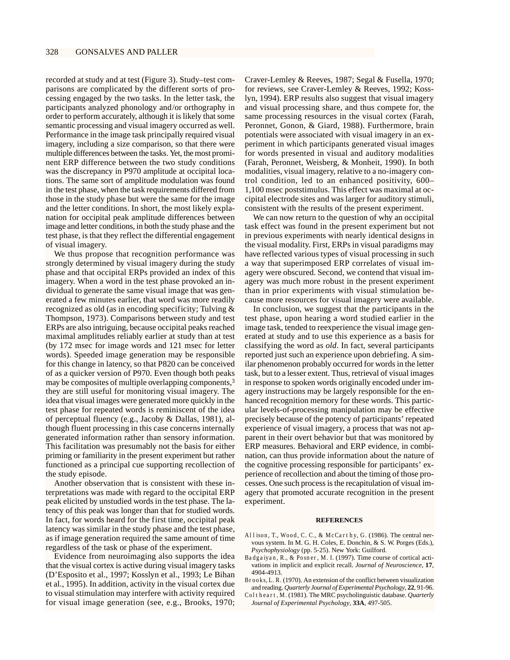recorded at study and at test (Figure 3). Study–test comparisons are complicated by the different sorts of processing engaged by the two tasks. In the letter task, the participants analyzed phonology and/or orthography in order to perform accurately, although it is likely that some semantic processing and visual imagery occurred as well. Performance in the image task principally required visual imagery, including a size comparison, so that there were multiple differences between the tasks. Yet, the most prominent ERP difference between the two study conditions was the discrepancy in P970 amplitude at occipital locations. The same sort of amplitude modulation was found in the test phase, when the task requirements differed from those in the study phase but were the same for the image and the letter conditions. In short, the most likely explanation for occipital peak amplitude differences between image and letter conditions, in both the study phase and the test phase, is that they reflect the differential engagement of visual imagery.

We thus propose that recognition performance was strongly determined by visual imagery during the study phase and that occipital ERPs provided an index of this imagery. When a word in the test phase provoked an individual to generate the same visual image that was generated a few minutes earlier, that word was more readily recognized as old (as in encoding specificity; Tulving & Thompson, 1973). Comparisons between study and test ERPs are also intriguing, because occipital peaks reached maximal amplitudes reliably earlier at study than at test (by 172 msec for image words and 121 msec for letter words). Speeded image generation may be responsible for this change in latency, so that P820 can be conceived of as a quicker version of P970. Even though both peaks may be composites of multiple overlapping components,<sup>3</sup> they are still useful for monitoring visual imagery. The idea that visual images were generated more quickly in the test phase for repeated words is reminiscent of the idea of perceptual fluency (e.g., Jacoby & Dallas, 1981), although fluent processing in this case concerns internally generated information rather than sensory information. This facilitation was presumably not the basis for either priming or familiarity in the present experiment but rather functioned as a principal cue supporting recollection of the study episode.

Another observation that is consistent with these interpretations was made with regard to the occipital ERP peak elicited by unstudied words in the test phase. The latency of this peak was longer than that for studied words. In fact, for words heard for the first time, occipital peak latency was similar in the study phase and the test phase, as if image generation required the same amount of time regardless of the task or phase of the experiment.

Evidence from neuroimaging also supports the idea that the visual cortex is active during visual imagery tasks (D'Esposito et al., 1997; Kosslyn et al., 1993; Le Bihan et al., 1995). In addition, activity in the visual cortex due to visual stimulation may interfere with activity required for visual image generation (see, e.g., Brooks, 1970;

Craver-Lemley & Reeves, 1987; Segal & Fusella, 1970; for reviews, see Craver-Lemley & Reeves, 1992; Kosslyn, 1994). ERP results also suggest that visual imagery and visual processing share, and thus compete for, the same processing resources in the visual cortex (Farah, Peronnet, Gonon, & Giard, 1988). Furthermore, brain potentials were associated with visual imagery in an experiment in which participants generated visual images for words presented in visual and auditory modalities (Farah, Peronnet, Weisberg, & Monheit, 1990). In both modalities, visual imagery, relative to a no-imagery control condition, led to an enhanced positivity, 600– 1,100 msec poststimulus. This effect was maximal at occipital electrode sites and was larger for auditory stimuli, consistent with the results of the present experiment.

We can now return to the question of why an occipital task effect was found in the present experiment but not in previous experiments with nearly identical designs in the visual modality. First, ERPs in visual paradigms may have reflected various types of visual processing in such a way that superimposed ERP correlates of visual imagery were obscured. Second, we contend that visual imagery was much more robust in the present experiment than in prior experiments with visual stimulation because more resources for visual imagery were available.

In conclusion, we suggest that the participants in the test phase, upon hearing a word studied earlier in the image task, tended to reexperience the visual image generated at study and to use this experience as a basis for classifying the word as *old*. In fact, several participants reported just such an experience upon debriefing. A similar phenomenon probably occurred for words in the letter task, but to a lesser extent. Thus, retrieval of visual images in response to spoken words originally encoded under imagery instructions may be largely responsible for the enhanced recognition memory for these words. This particular levels-of-processing manipulation may be effective precisely because of the potency of participants' repeated experience of visual imagery, a process that was not apparent in their overt behavior but that was monitored by ERP measures. Behavioral and ERP evidence, in combination, can thus provide information about the nature of the cognitive processing responsible for participants' experience of recollection and about the timing of those processes. One such process is the recapitulation of visual imagery that promoted accurate recognition in the present experiment.

# **REFERENCES**

- Allison, T., Wood, C. C., & McCarthy, G. (1986). The central nervous system. In M. G. H. Coles, E. Donchin, & S. W. Porges (Eds.), *Psychophysiology* (pp. 5-25). New York: Guilford.
- Badgaiyan, R., & Posner, M. I. (1997). Time course of cortical activations in implicit and explicit recall. *Journal of Neuroscience*, **17**, 4904-4913.
- Brooks, L. R. (1970). An extension of the conflict between visualization and reading. *Quarterly Journal of Experimental Psychology*, **22**, 91-96.
- Coltheart, M. (1981). The MRC psycholinguistic database. *Quarterly Journal of Experimental Psychology*, **33A**, 497-505.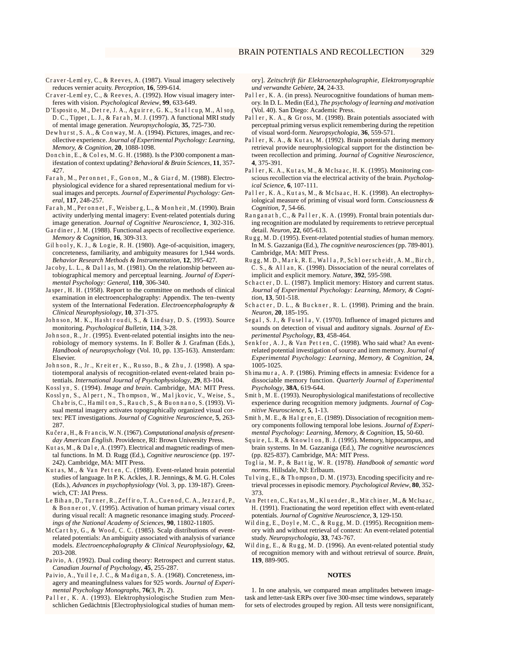- Craver-Lemley, C., & Reeves, A. (1987). Visual imagery selectively reduces vernier acuity. *Perception*, **16**, 599-614.
- Craver-Lemley, C., & Reeves, A. (1992). How visual imagery interferes with vision. *Psychological Review*, **99**, 633-649.
- D'Esposito, M., Detre, J. A., Aguirre, G. K., Stallcup, M., Alsop, D. C., Tippet, L. J., & Farah, M. J. (1997). A functional MRI study of mental image generation. *Neuropsychologia*, **35**, 725-730.
- Dewhurst, S. A., & Conway, M. A. (1994). Pictures, images, and recollective experience. *Journal of Experimental Psychology: Learning, Memory, & Cognition*, **20**, 1088-1098.
- Donchin, E., & Coles, M. G. H. (1988). Is the P300 component a manifestation of context updating? *Behavioral & Brain Sciences*, **11**, 357- 427.
- Farah, M., Peronnet, F., Gonon, M., & Giard, M. (1988). Electrophysiological evidence for a shared representational medium for visual images and percepts. *Journal of Experimental Psychology: General*, **117**, 248-257.
- Farah, M., Peronnet, F., Weisberg, L., & Monheit, M. (1990). Brain activity underlying mental imagery: Event-related potentials during image generation. *Journal of Cognitive Neuroscience*, **1**, 302-316.
- Gardiner, J. M. (1988). Functional aspects of recollective experience. *Memory & Cognition*, **16**, 309-313.
- Gilhooly, K. J., & Logie, R. H. (1980). Age-of-acquisition, imagery, concreteness, familiarity, and ambiguity measures for 1,944 words. *Behavior Research Methods & Instrumentation*, **12**, 395-427.
- Jacoby, L. L., & Dallas, M. (1981). On the relationship between autobiographical memory and perceptual learning. *Journal of Experimental Psychology: General*, **110**, 306-340.
- Jasper, H. H. (1958). Report to the committee on methods of clinical examination in electroencephalography: Appendix. The ten–twenty system of the International Federation. *Electroencephalography & Clinical Neurophysiology*, **10**, 371-375.
- Johnson, M. K., Hashtroudi, S., & Lindsay, D. S. (1993). Source monitoring. *Psychological Bulletin*, **114**, 3-28.
- Johnson, R., Jr. (1995). Event-related potential insights into the neurobiology of memory systems. In F. Boller & J. Grafman (Eds.), *Handbook of neuropsychology* (Vol. 10, pp. 135-163). Amsterdam: Elsevier.
- Johnson, R., Jr., Kreiter, K., Russo, B., & Zhu, J. (1998). A spatiotemporal analysis of recognition-related event-related brain potentials. *International Journal of Psychophysiology*, **29**, 83-104.
- Kosslyn, S. (1994). *Image and brain*. Cambridge, MA: MIT Press.
- Kosslyn, S., Alpert, N., Thompson, W., Maljkovic, V., Weise, S., Chabris, C., Hamilton, S., Rauch, S., & Buonnano, S. (1993). Visual mental imagery activates topographically organized visual cortex: PET investigations. *Journal of Cognitive Neuroscience*, **5**, 263- 287.
- Kučera, H., & Francis, W. N. (1967). *Computational analysis of presentday American English*. Providence, RI: Brown University Press.
- Kutas, M., & Dale, A. (1997). Electrical and magnetic readings of mental functions. In M. D. Rugg (Ed.), *Cognitive neuroscience* (pp. 197- 242). Cambridge, MA: MIT Press.
- Kutas, M., & Van Petten, C. (1988). Event-related brain potential studies of language. In P. K. Ackles, J. R. Jennings, & M. G. H. Coles (Eds.), *Advances in psychophysiology* (Vol. 3, pp. 139-187). Greenwich, CT: JAI Press.
- Le Bihan, D., Turner, R., Zeffiro, T. A., Cuenod, C. A., Jezzard, P., & Bonnerot, V. (1995). Activation of human primary visual cortex during visual recall: A magnetic resonance imaging study. *Proceedings of the National Academy of Sciences*, **90**, 11802-11805.
- McCarthy, G., & Wood, C. C. (1985). Scalp distributions of eventrelated potentials: An ambiguity associated with analysis of variance models. *Electroencephalography & Clinical Neurophysiology*, **62**, 203-208.
- Paivio, A. (1992). Dual coding theory: Retrospect and current status. *Canadian Journal of Psychology*, **45**, 255-287.
- Paivio, A., Yuille, J.C., & Madigan, S.A. (1968). Concreteness, imagery and meaningfulness values for 925 words. *Journal of Experimental Psychology Monographs*, **76**(3, Pt. 2).
- Paller, K. A. (1993). Elektrophysiologische Studien zum Menschlichen Gedächtnis [Electrophysiological studies of human mem-

ory]. *Zeitschrift für Elektroenzephalographie, Elektromyographie und verwandte Gebiete*, **24**, 24-33.

- Paller, K. A. (in press). Neurocognitive foundations of human memory. In D. L. Medin (Ed.), *The psychology of learning and motivation* (Vol. 40). San Diego: Academic Press.
- Paller, K. A., & Gross, M. (1998). Brain potentials associated with perceptual priming versus explicit remembering during the repetition of visual word-form. *Neuropsychologia*, **36**, 559-571.
- Paller, K. A., & Kutas, M. (1992). Brain potentials during memory retrieval provide neurophysiological support for the distinction between recollection and priming. *Journal of Cognitive Neuroscience*, **4**, 375-391.
- Paller, K. A., Kutas, M., & McIsaac, H. K. (1995). Monitoring conscious recollection via the electrical activity of the brain. *Psychological Science*, **6**, 107-111.
- Paller, K. A., Kutas, M., & McIsaac, H. K. (1998). An electrophysiological measure of priming of visual word form. *Consciousness & Cognition*, **7**, 54-66.
- Ranganath, C., & Paller, K. A. (1999). Frontal brain potentials during recognition are modulated by requirements to retrieve perceptual detail. *Neuron*, **22**, 605-613.
- Rugg, M. D. (1995). Event-related potential studies of human memory. In M. S. Gazzaniga (Ed.), *The cognitive neurosciences*(pp. 789-801). Cambridge, MA: MIT Press.
- Rugg, M. D., Mark, R. E., Walla, P., Schloerscheidt, A. M., Birch, C. S., & Allan, K. (1998). Dissociation of the neural correlates of implicit and explicit memory. *Nature*, **392**, 595-598.
- Schacter, D. L. (1987). Implicit memory: History and current status. *Journal of Experimental Psychology: Learning, Memory, & Cognition*, **13**, 501-518.
- Schacter, D. L., & Buckner, R. L. (1998). Priming and the brain. *Neuron*, **20**, 185-195.
- Segal, S. J., & Fusella, V. (1970). Influence of imaged pictures and sounds on detection of visual and auditory signals. *Journal of Experimental Psychology*, **83**, 458-464.
- Senkfor, A. J., & Van Petten, C. (1998). Who said what? An eventrelated potential investigation of source and item memory. *Journal of Experimental Psychology: Learning, Memory, & Cognition*, **24**, 1005-1025.
- Shimamura, A. P. (1986). Priming effects in amnesia: Evidence for a dissociable memory function. *Quarterly Journal of Experimental Psychology*, **38A**, 619-644.
- Smith, M. E. (1993). Neurophysiological manifestations of recollective experience during recognition memory judgments. *Journal of Cognitive Neuroscience*, **5**, 1-13.
- Smith, M. E., & Halgren, E. (1989). Dissociation of recognition memory components following temporal lobe lesions. *Journal of Experimental Psychology: Learning, Memory, & Cognition*, **15**, 50-60.
- Squire, L. R., & Knowlton, B. J. (1995). Memory, hippocampus, and brain systems. In M. Gazzaniga (Ed.), *The cognitive neurosciences* (pp. 825-837). Cambridge, MA: MIT Press.
- Toglia, M. P., & Battig, W. R. (1978). *Handbook of semantic word norms*. Hillsdale, NJ: Erlbaum.
- Tulving, E., & Thompson, D. M. (1973). Encoding specificity and retrieval processes in episodic memory. *Psychological Review*, **80**, 352- 373.
- Van Petten, C., Kutas, M., Kluender, R., Mitchiner, M., & McIsaac, H. (1991). Fractionating the word repetition effect with event-related potentials. *Journal of Cognitive Neuroscience*, **3**, 129-150.
- Wilding, E., Doyle, M. C., & Rugg, M. D. (1995). Recognition memory with and without retrieval of context: An event-related potential study. *Neuropsychologia*, **33**, 743-767.
- Wilding, E., & Rugg, M. D. (1996). An event-related potential study of recognition memory with and without retrieval of source. *Brain*, **119**, 889-905.

#### **NOTES**

1. In one analysis, we compared mean amplitudes between imagetask and letter-task ERPs over five 300-msec time windows, separately for sets of electrodes grouped by region. All tests were nonsignificant,